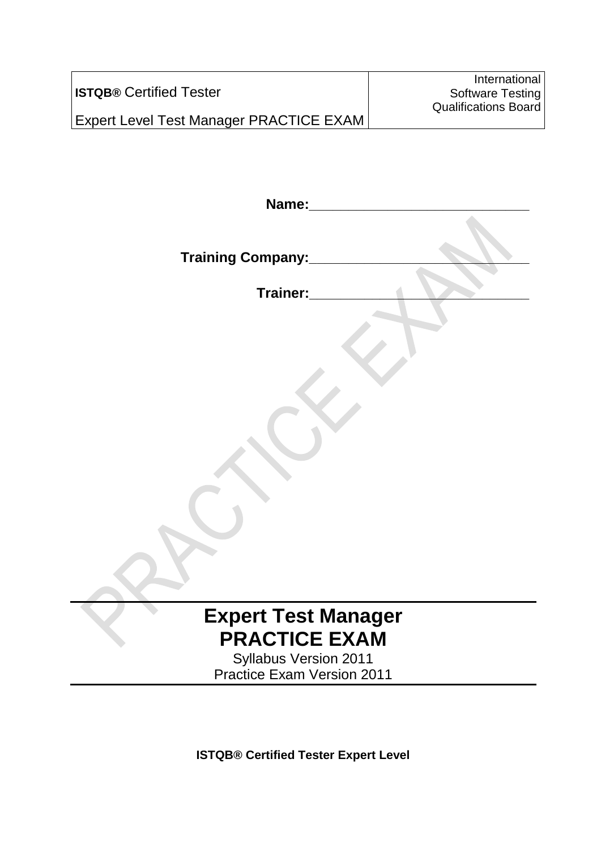|                                                | International               |
|------------------------------------------------|-----------------------------|
| <b>ISTQB® Certified Tester</b>                 | Software Testing            |
|                                                | <b>Qualifications Board</b> |
| <b>Expert Level Test Manager PRACTICE EXAM</b> |                             |

| Name:                             |
|-----------------------------------|
| <b>Training Company:</b>          |
| Trainer:                          |
|                                   |
| <b>Expert Test Manager</b>        |
| <b>PRACTICE EXAM</b>              |
| <b>Syllabus Version 2011</b>      |
| <b>Practice Exam Version 2011</b> |
|                                   |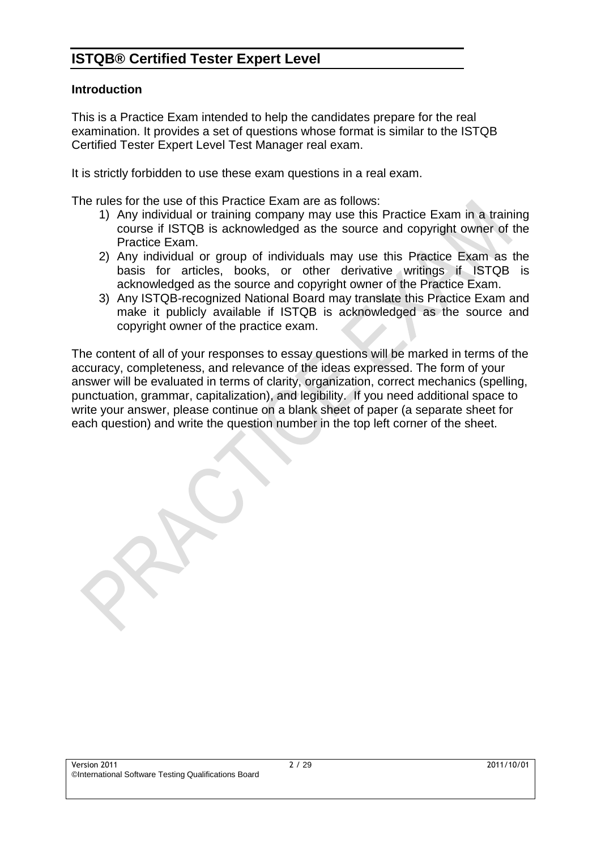#### **Introduction**

This is a Practice Exam intended to help the candidates prepare for the real examination. It provides a set of questions whose format is similar to the ISTQB Certified Tester Expert Level Test Manager real exam.

It is strictly forbidden to use these exam questions in a real exam.

The rules for the use of this Practice Exam are as follows:

- 1) Any individual or training company may use this Practice Exam in a training course if ISTQB is acknowledged as the source and copyright owner of the Practice Exam.
- 2) Any individual or group of individuals may use this Practice Exam as the basis for articles, books, or other derivative writings if ISTQB is acknowledged as the source and copyright owner of the Practice Exam.
- 3) Any ISTQB-recognized National Board may translate this Practice Exam and make it publicly available if ISTQB is acknowledged as the source and copyright owner of the practice exam.

The content of all of your responses to essay questions will be marked in terms of the accuracy, completeness, and relevance of the ideas expressed. The form of your answer will be evaluated in terms of clarity, organization, correct mechanics (spelling, punctuation, grammar, capitalization), and legibility. If you need additional space to write your answer, please continue on a blank sheet of paper (a separate sheet for each question) and write the question number in the top left corner of the sheet.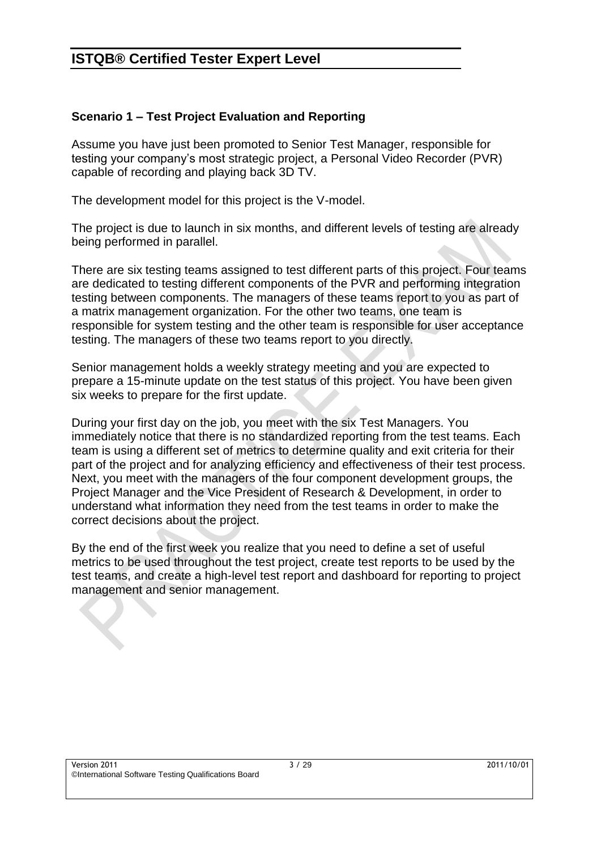#### **Scenario 1 – Test Project Evaluation and Reporting**

Assume you have just been promoted to Senior Test Manager, responsible for testing your company's most strategic project, a Personal Video Recorder (PVR) capable of recording and playing back 3D TV.

The development model for this project is the V-model.

The project is due to launch in six months, and different levels of testing are already being performed in parallel.

There are six testing teams assigned to test different parts of this project. Four teams are dedicated to testing different components of the PVR and performing integration testing between components. The managers of these teams report to you as part of a matrix management organization. For the other two teams, one team is responsible for system testing and the other team is responsible for user acceptance testing. The managers of these two teams report to you directly.

Senior management holds a weekly strategy meeting and you are expected to prepare a 15-minute update on the test status of this project. You have been given six weeks to prepare for the first update.

During your first day on the job, you meet with the six Test Managers. You immediately notice that there is no standardized reporting from the test teams. Each team is using a different set of metrics to determine quality and exit criteria for their part of the project and for analyzing efficiency and effectiveness of their test process. Next, you meet with the managers of the four component development groups, the Project Manager and the Vice President of Research & Development, in order to understand what information they need from the test teams in order to make the correct decisions about the project.

By the end of the first week you realize that you need to define a set of useful metrics to be used throughout the test project, create test reports to be used by the test teams, and create a high-level test report and dashboard for reporting to project management and senior management.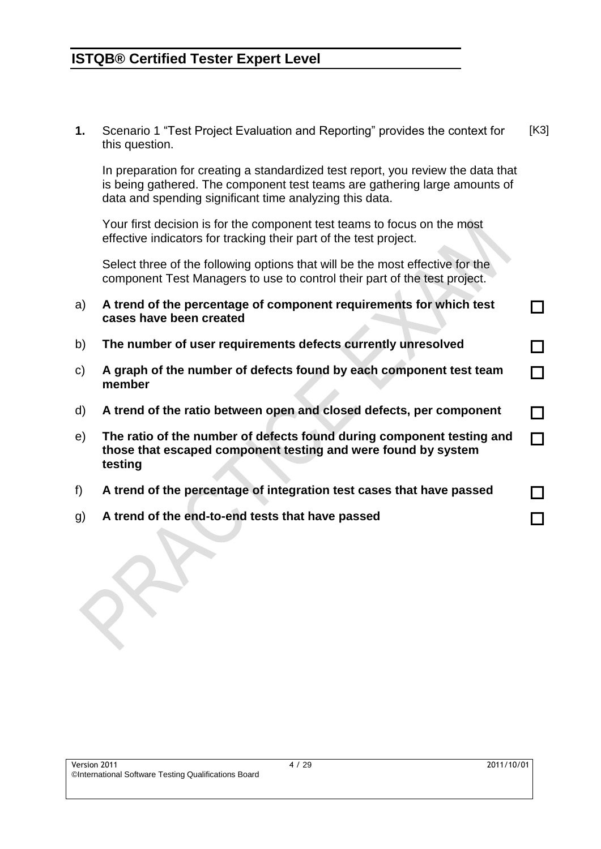**1.** Scenario 1 "Test Project Evaluation and Reporting" provides the context for this question. [K3]

In preparation for creating a standardized test report, you review the data that is being gathered. The component test teams are gathering large amounts of data and spending significant time analyzing this data.

Your first decision is for the component test teams to focus on the most effective indicators for tracking their part of the test project.

Select three of the following options that will be the most effective for the component Test Managers to use to control their part of the test project.

- a) **A trend of the percentage of component requirements for which test cases have been created**
- b) **The number of user requirements defects currently unresolved**
- c) **A graph of the number of defects found by each component test team member**
- d) **A trend of the ratio between open and closed defects, per component**
- e) **The ratio of the number of defects found during component testing and those that escaped component testing and were found by system testing**
- f) **A trend of the percentage of integration test cases that have passed**
- g) **A trend of the end-to-end tests that have passed**

П

П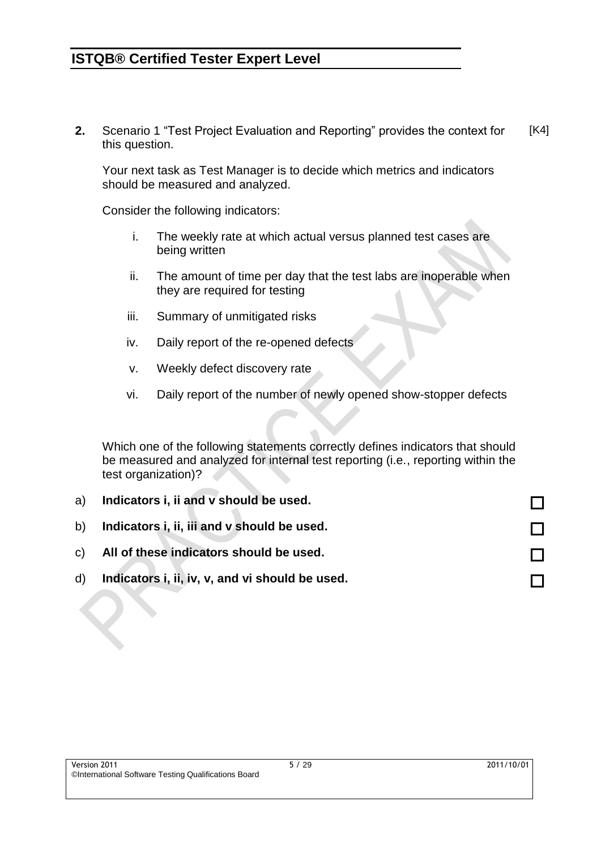**2.** Scenario 1 "Test Project Evaluation and Reporting" provides the context for this question. [K4]

Your next task as Test Manager is to decide which metrics and indicators should be measured and analyzed.

Consider the following indicators:

- i. The weekly rate at which actual versus planned test cases are being written
- ii. The amount of time per day that the test labs are inoperable when they are required for testing
- iii. Summary of unmitigated risks
- iv. Daily report of the re-opened defects
- v. Weekly defect discovery rate
- vi. Daily report of the number of newly opened show-stopper defects

Which one of the following statements correctly defines indicators that should be measured and analyzed for internal test reporting (i.e., reporting within the test organization)?

| a) | Indicators i, ii and v should be used.          |  |
|----|-------------------------------------------------|--|
| b) | Indicators i, ii, iii and v should be used.     |  |
|    | c) All of these indicators should be used.      |  |
| d) | Indicators i, ii, iv, v, and vi should be used. |  |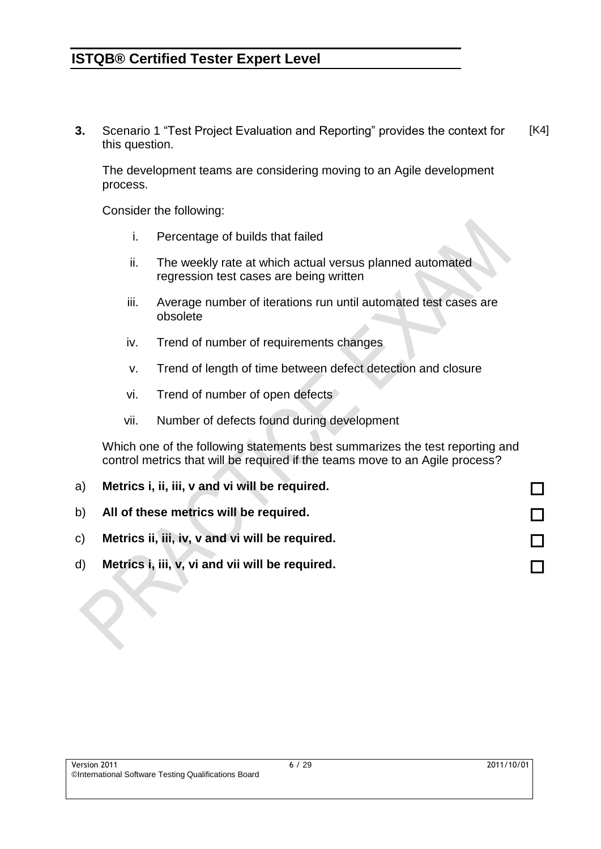**3.** Scenario 1 "Test Project Evaluation and Reporting" provides the context for this question. [K4]

The development teams are considering moving to an Agile development process.

Consider the following:

- i. Percentage of builds that failed
- ii. The weekly rate at which actual versus planned automated regression test cases are being written
- iii. Average number of iterations run until automated test cases are obsolete
- iv. Trend of number of requirements changes
- v. Trend of length of time between defect detection and closure
- vi. Trend of number of open defects
- vii. Number of defects found during development

Which one of the following statements best summarizes the test reporting and control metrics that will be required if the teams move to an Agile process?

| a)           | Metrics i, ii, iii, v and vi will be required.     |  |
|--------------|----------------------------------------------------|--|
|              | b) All of these metrics will be required.          |  |
|              | c) Metrics ii, iii, iv, v and vi will be required. |  |
| $\mathsf{d}$ | Metrics i, iii, v, vi and vii will be required.    |  |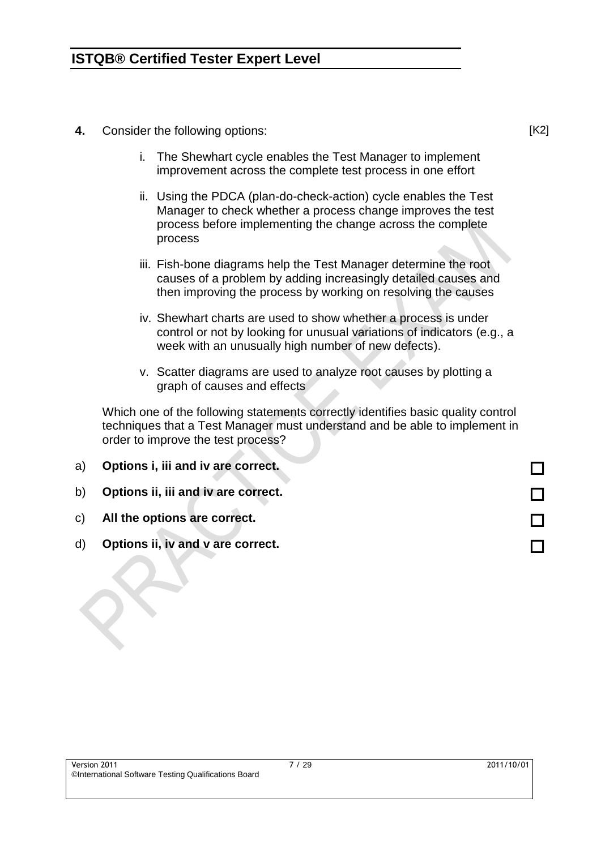- **4.** Consider the following options:
	- i. The Shewhart cycle enables the Test Manager to implement improvement across the complete test process in one effort
	- ii. Using the PDCA (plan-do-check-action) cycle enables the Test Manager to check whether a process change improves the test process before implementing the change across the complete process
	- iii. Fish-bone diagrams help the Test Manager determine the root causes of a problem by adding increasingly detailed causes and then improving the process by working on resolving the causes
	- iv. Shewhart charts are used to show whether a process is under control or not by looking for unusual variations of indicators (e.g., a week with an unusually high number of new defects).
	- v. Scatter diagrams are used to analyze root causes by plotting a graph of causes and effects

Which one of the following statements correctly identifies basic quality control techniques that a Test Manager must understand and be able to implement in order to improve the test process?

| a)           | Options i, iii and iv are correct.  |  |
|--------------|-------------------------------------|--|
| b)           | Options ii, iii and iv are correct. |  |
|              | c) All the options are correct.     |  |
| $\mathsf{d}$ | Options ii, iv and v are correct.   |  |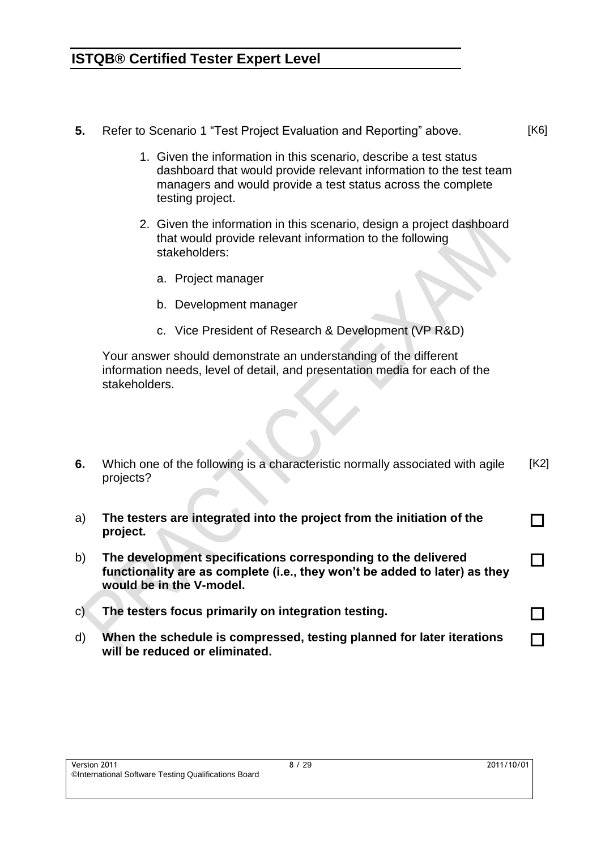- **5.** Refer to Scenario 1 "Test Project Evaluation and Reporting" above.
	- 1. Given the information in this scenario, describe a test status dashboard that would provide relevant information to the test team managers and would provide a test status across the complete testing project.
	- 2. Given the information in this scenario, design a project dashboard that would provide relevant information to the following stakeholders:
		- a. Project manager
		- b. Development manager
		- c. Vice President of Research & Development (VP R&D)

Your answer should demonstrate an understanding of the different information needs, level of detail, and presentation media for each of the stakeholders.

- **6.** Which one of the following is a characteristic normally associated with agile projects? [K2]
- a) **The testers are integrated into the project from the initiation of the project.** П b) **The development specifications corresponding to the delivered functionality are as complete (i.e., they won't be added to later) as they would be in the V-model.** П
- c) **The testers focus primarily on integration testing.**
- d) **When the schedule is compressed, testing planned for later iterations will be reduced or eliminated.**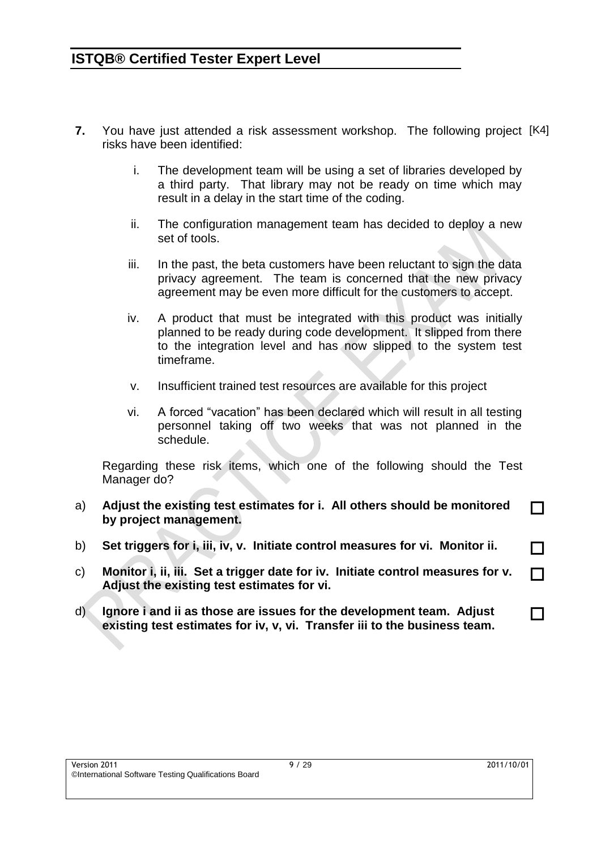- **7.** You have just attended a risk assessment workshop. The following project [K4] risks have been identified:
	- i. The development team will be using a set of libraries developed by a third party. That library may not be ready on time which may result in a delay in the start time of the coding.
	- ii. The configuration management team has decided to deploy a new set of tools.
	- iii. In the past, the beta customers have been reluctant to sign the data privacy agreement. The team is concerned that the new privacy agreement may be even more difficult for the customers to accept.
	- iv. A product that must be integrated with this product was initially planned to be ready during code development. It slipped from there to the integration level and has now slipped to the system test timeframe.
	- v. Insufficient trained test resources are available for this project
	- vi. A forced "vacation" has been declared which will result in all testing personnel taking off two weeks that was not planned in the schedule.

Regarding these risk items, which one of the following should the Test Manager do?

- a) **Adjust the existing test estimates for i. All others should be monitored by project management.**
- b) **Set triggers for i, iii, iv, v. Initiate control measures for vi. Monitor ii.**
- c) **Monitor i, ii, iii. Set a trigger date for iv. Initiate control measures for v. Adjust the existing test estimates for vi.**
- d) **Ignore i and ii as those are issues for the development team. Adjust existing test estimates for iv, v, vi. Transfer iii to the business team.**

П

П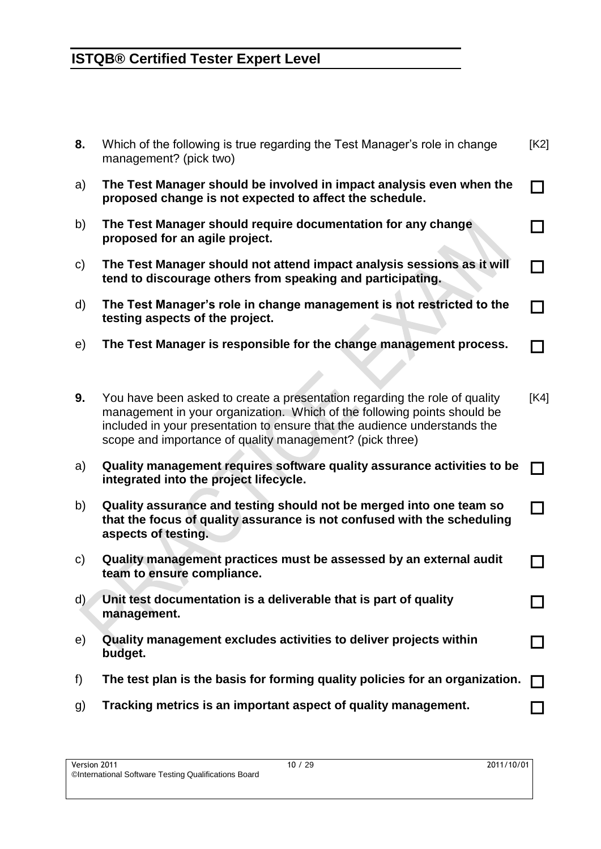| 8.           | Which of the following is true regarding the Test Manager's role in change<br>management? (pick two)                                                                                                                                                                                            | [K2] |
|--------------|-------------------------------------------------------------------------------------------------------------------------------------------------------------------------------------------------------------------------------------------------------------------------------------------------|------|
| a)           | The Test Manager should be involved in impact analysis even when the<br>proposed change is not expected to affect the schedule.                                                                                                                                                                 |      |
| b)           | The Test Manager should require documentation for any change<br>proposed for an agile project.                                                                                                                                                                                                  |      |
| $\mathsf{C}$ | The Test Manager should not attend impact analysis sessions as it will<br>tend to discourage others from speaking and participating.                                                                                                                                                            |      |
| d)           | The Test Manager's role in change management is not restricted to the<br>testing aspects of the project.                                                                                                                                                                                        |      |
| e)           | The Test Manager is responsible for the change management process.                                                                                                                                                                                                                              |      |
|              |                                                                                                                                                                                                                                                                                                 |      |
| 9.           | You have been asked to create a presentation regarding the role of quality<br>management in your organization. Which of the following points should be<br>included in your presentation to ensure that the audience understands the<br>scope and importance of quality management? (pick three) | [K4] |
| a)           | Quality management requires software quality assurance activities to be<br>integrated into the project lifecycle.                                                                                                                                                                               |      |
| b)           | Quality assurance and testing should not be merged into one team so<br>that the focus of quality assurance is not confused with the scheduling<br>aspects of testing.                                                                                                                           |      |
| $\mathsf{C}$ | Quality management practices must be assessed by an external audit<br>team to ensure compliance.                                                                                                                                                                                                |      |
| d)           | Unit test documentation is a deliverable that is part of quality<br>management.                                                                                                                                                                                                                 |      |
| e)           | Quality management excludes activities to deliver projects within<br>budget.                                                                                                                                                                                                                    |      |
| f)           | The test plan is the basis for forming quality policies for an organization.                                                                                                                                                                                                                    |      |
| g)           | Tracking metrics is an important aspect of quality management.                                                                                                                                                                                                                                  |      |
|              |                                                                                                                                                                                                                                                                                                 |      |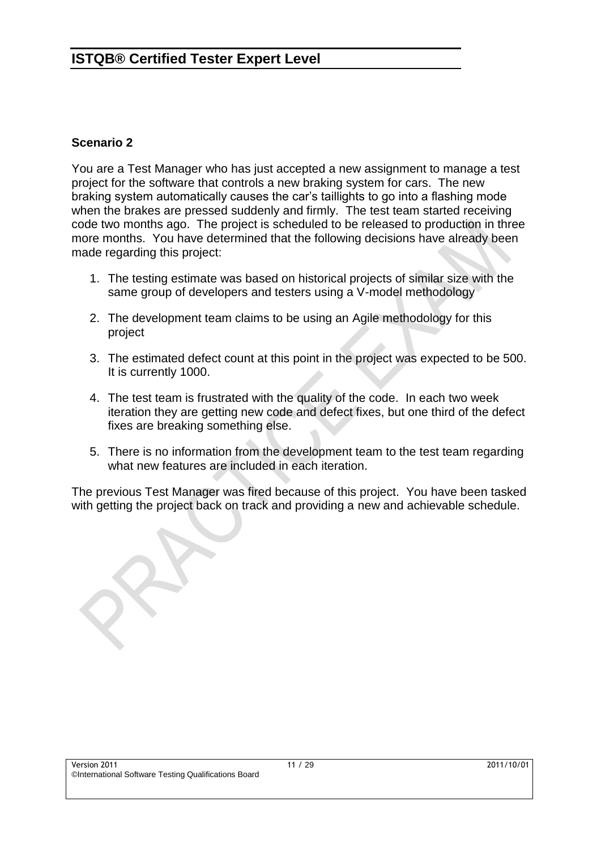#### **Scenario 2**

You are a Test Manager who has just accepted a new assignment to manage a test project for the software that controls a new braking system for cars. The new braking system automatically causes the car's taillights to go into a flashing mode when the brakes are pressed suddenly and firmly. The test team started receiving code two months ago. The project is scheduled to be released to production in three more months. You have determined that the following decisions have already been made regarding this project:

- 1. The testing estimate was based on historical projects of similar size with the same group of developers and testers using a V-model methodology
- 2. The development team claims to be using an Agile methodology for this project
- 3. The estimated defect count at this point in the project was expected to be 500. It is currently 1000.
- 4. The test team is frustrated with the quality of the code. In each two week iteration they are getting new code and defect fixes, but one third of the defect fixes are breaking something else.
- 5. There is no information from the development team to the test team regarding what new features are included in each iteration.

The previous Test Manager was fired because of this project. You have been tasked with getting the project back on track and providing a new and achievable schedule.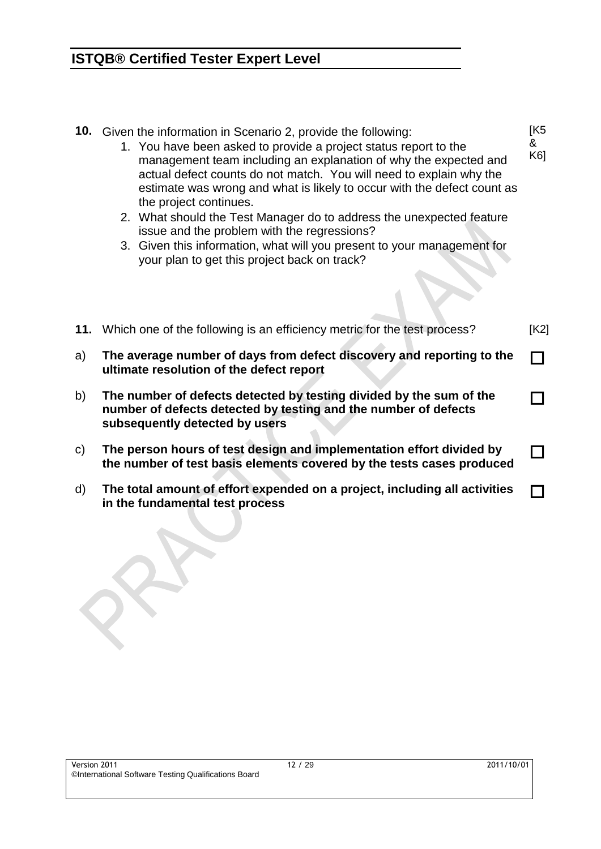| 10. | Given the information in Scenario 2, provide the following:<br>1. You have been asked to provide a project status report to the<br>management team including an explanation of why the expected and<br>actual defect counts do not match. You will need to explain why the<br>estimate was wrong and what is likely to occur with the defect count as<br>the project continues.<br>2. What should the Test Manager do to address the unexpected feature<br>issue and the problem with the regressions?<br>3. Given this information, what will you present to your management for<br>your plan to get this project back on track? | [K5<br>&<br>K61 |
|-----|-----------------------------------------------------------------------------------------------------------------------------------------------------------------------------------------------------------------------------------------------------------------------------------------------------------------------------------------------------------------------------------------------------------------------------------------------------------------------------------------------------------------------------------------------------------------------------------------------------------------------------------|-----------------|
|     | 11. Which one of the following is an efficiency metric for the test process?                                                                                                                                                                                                                                                                                                                                                                                                                                                                                                                                                      | [K2]            |
| a)  | The average number of days from defect discovery and reporting to the<br>ultimate resolution of the defect report                                                                                                                                                                                                                                                                                                                                                                                                                                                                                                                 |                 |
| b)  | The number of defects detected by testing divided by the sum of the<br>number of defects detected by testing and the number of defects<br>subsequently detected by users                                                                                                                                                                                                                                                                                                                                                                                                                                                          |                 |
| c)  | The person hours of test design and implementation effort divided by<br>the number of test basis elements covered by the tests cases produced                                                                                                                                                                                                                                                                                                                                                                                                                                                                                     |                 |
| d)  | The total amount of effort expended on a project, including all activities<br>in the fundamental test process                                                                                                                                                                                                                                                                                                                                                                                                                                                                                                                     |                 |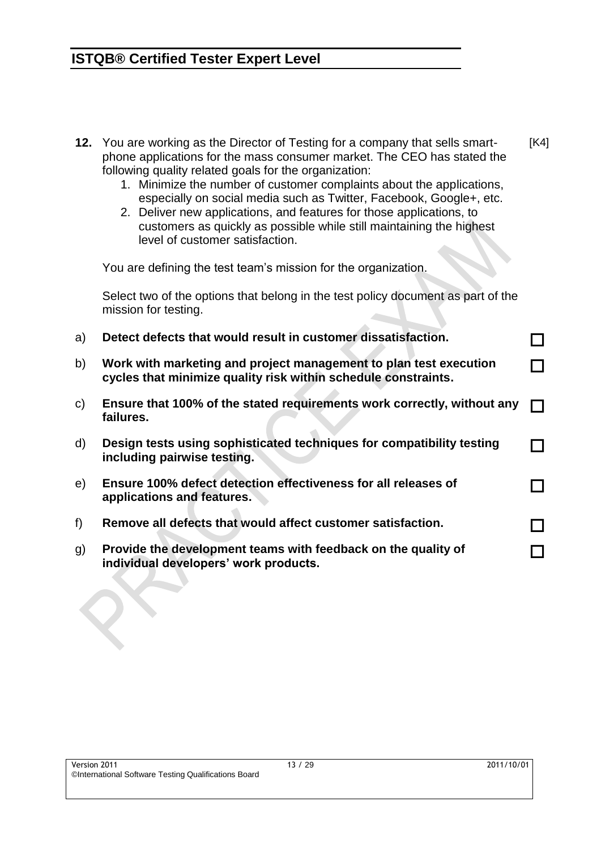- **12.** You are working as the Director of Testing for a company that sells smartphone applications for the mass consumer market. The CEO has stated the following quality related goals for the organization: [K4]
	- 1. Minimize the number of customer complaints about the applications, especially on social media such as Twitter, Facebook, Google+, etc.
	- 2. Deliver new applications, and features for those applications, to customers as quickly as possible while still maintaining the highest level of customer satisfaction.

You are defining the test team's mission for the organization.

Select two of the options that belong in the test policy document as part of the mission for testing.

- a) **Detect defects that would result in customer dissatisfaction.** b) **Work with marketing and project management to plan test execution cycles that minimize quality risk within schedule constraints.** П c) **Ensure that 100% of the stated requirements work correctly, without any failures.** П d) **Design tests using sophisticated techniques for compatibility testing including pairwise testing.** П
- e) **Ensure 100% defect detection effectiveness for all releases of applications and features.**
- f) **Remove all defects that would affect customer satisfaction.**
- g) **Provide the development teams with feedback on the quality of individual developers' work products.**

П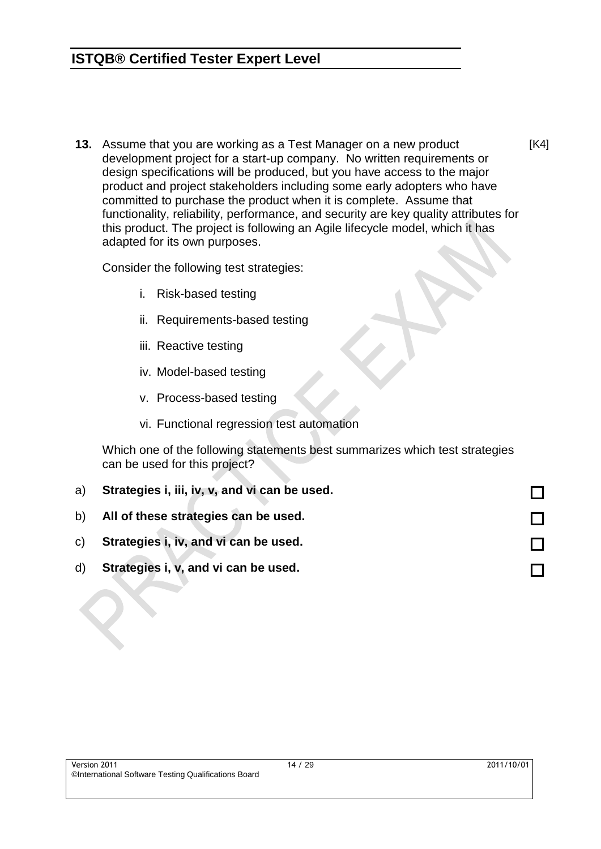**13.** Assume that you are working as a Test Manager on a new product development project for a start-up company. No written requirements or design specifications will be produced, but you have access to the major product and project stakeholders including some early adopters who have committed to purchase the product when it is complete. Assume that functionality, reliability, performance, and security are key quality attributes for this product. The project is following an Agile lifecycle model, which it has adapted for its own purposes.

Consider the following test strategies:

- i. Risk-based testing
- ii. Requirements-based testing
- iii. Reactive testing
- iv. Model-based testing
- v. Process-based testing
- vi. Functional regression test automation

Which one of the following statements best summarizes which test strategies can be used for this project?

a) **Strategies i, iii, iv, v, and vi can be used.** b) **All of these strategies can be used.** c) **Strategies i, iv, and vi can be used.** d) **Strategies i, v, and vi can be used.**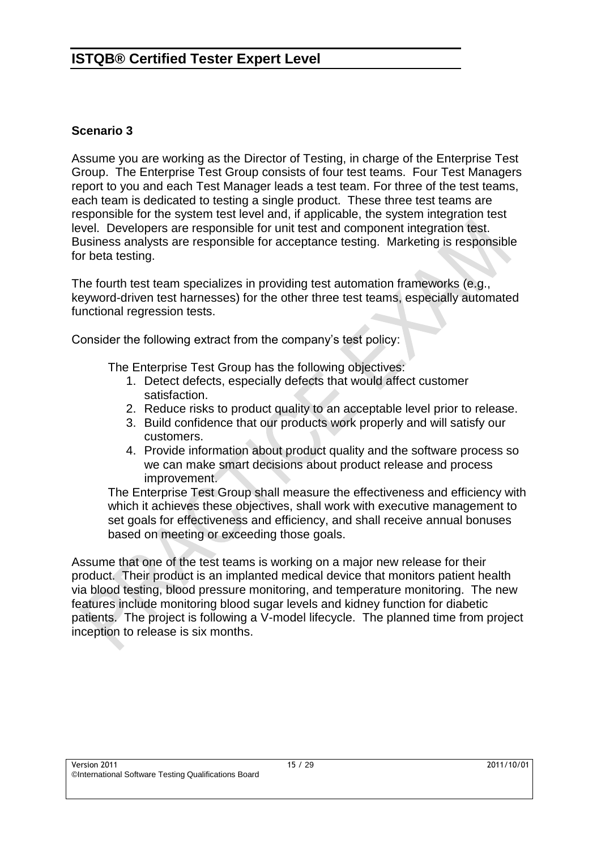#### **Scenario 3**

Assume you are working as the Director of Testing, in charge of the Enterprise Test Group. The Enterprise Test Group consists of four test teams. Four Test Managers report to you and each Test Manager leads a test team. For three of the test teams, each team is dedicated to testing a single product. These three test teams are responsible for the system test level and, if applicable, the system integration test level. Developers are responsible for unit test and component integration test. Business analysts are responsible for acceptance testing. Marketing is responsible for beta testing.

The fourth test team specializes in providing test automation frameworks (e.g., keyword-driven test harnesses) for the other three test teams, especially automated functional regression tests.

Consider the following extract from the company's test policy:

The Enterprise Test Group has the following objectives:

- 1. Detect defects, especially defects that would affect customer satisfaction.
- 2. Reduce risks to product quality to an acceptable level prior to release.
- 3. Build confidence that our products work properly and will satisfy our customers.
- 4. Provide information about product quality and the software process so we can make smart decisions about product release and process improvement.

The Enterprise Test Group shall measure the effectiveness and efficiency with which it achieves these objectives, shall work with executive management to set goals for effectiveness and efficiency, and shall receive annual bonuses based on meeting or exceeding those goals.

Assume that one of the test teams is working on a major new release for their product. Their product is an implanted medical device that monitors patient health via blood testing, blood pressure monitoring, and temperature monitoring. The new features include monitoring blood sugar levels and kidney function for diabetic patients. The project is following a V-model lifecycle. The planned time from project inception to release is six months.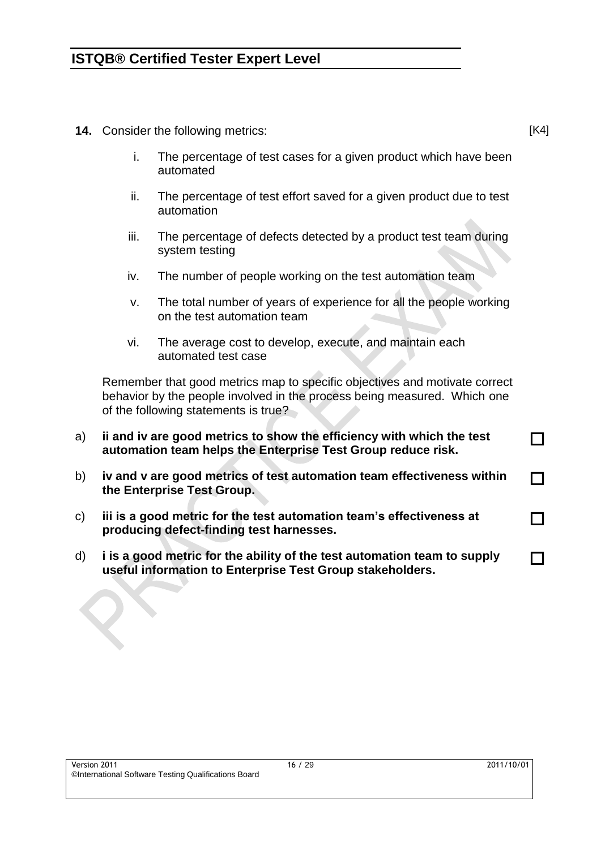- **14.** Consider the following metrics:
	- i. The percentage of test cases for a given product which have been automated
	- ii. The percentage of test effort saved for a given product due to test automation
	- iii. The percentage of defects detected by a product test team during system testing
	- iv. The number of people working on the test automation team
	- v. The total number of years of experience for all the people working on the test automation team
	- vi. The average cost to develop, execute, and maintain each automated test case

Remember that good metrics map to specific objectives and motivate correct behavior by the people involved in the process being measured. Which one of the following statements is true?

- a) **ii and iv are good metrics to show the efficiency with which the test automation team helps the Enterprise Test Group reduce risk.**
- b) **iv and v are good metrics of test automation team effectiveness within the Enterprise Test Group.**
- c) **iii is a good metric for the test automation team's effectiveness at producing defect-finding test harnesses.**
- d) **i is a good metric for the ability of the test automation team to supply useful information to Enterprise Test Group stakeholders.**

П

П

П

п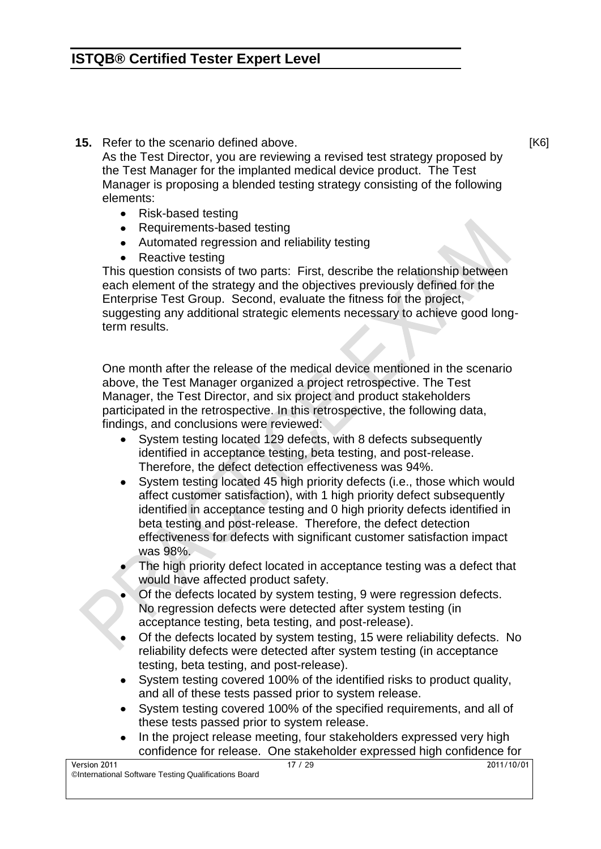**15.** Refer to the scenario defined above.

As the Test Director, you are reviewing a revised test strategy proposed by the Test Manager for the implanted medical device product. The Test Manager is proposing a blended testing strategy consisting of the following elements:

- Risk-based testing
- Requirements-based testing
- Automated regression and reliability testing
- Reactive testing

This question consists of two parts: First, describe the relationship between each element of the strategy and the objectives previously defined for the Enterprise Test Group. Second, evaluate the fitness for the project, suggesting any additional strategic elements necessary to achieve good longterm results.

One month after the release of the medical device mentioned in the scenario above, the Test Manager organized a project retrospective. The Test Manager, the Test Director, and six project and product stakeholders participated in the retrospective. In this retrospective, the following data, findings, and conclusions were reviewed:

- System testing located 129 defects, with 8 defects subsequently identified in acceptance testing, beta testing, and post-release. Therefore, the defect detection effectiveness was 94%.
- System testing located 45 high priority defects (i.e., those which would affect customer satisfaction), with 1 high priority defect subsequently identified in acceptance testing and 0 high priority defects identified in beta testing and post-release. Therefore, the defect detection effectiveness for defects with significant customer satisfaction impact was 98%.
- The high priority defect located in acceptance testing was a defect that would have affected product safety.
- Of the defects located by system testing, 9 were regression defects. No regression defects were detected after system testing (in acceptance testing, beta testing, and post-release).
- Of the defects located by system testing, 15 were reliability defects. No reliability defects were detected after system testing (in acceptance testing, beta testing, and post-release).
- System testing covered 100% of the identified risks to product quality, and all of these tests passed prior to system release.
- System testing covered 100% of the specified requirements, and all of these tests passed prior to system release.
- In the project release meeting, four stakeholders expressed very high confidence for release. One stakeholder expressed high confidence for

[K6]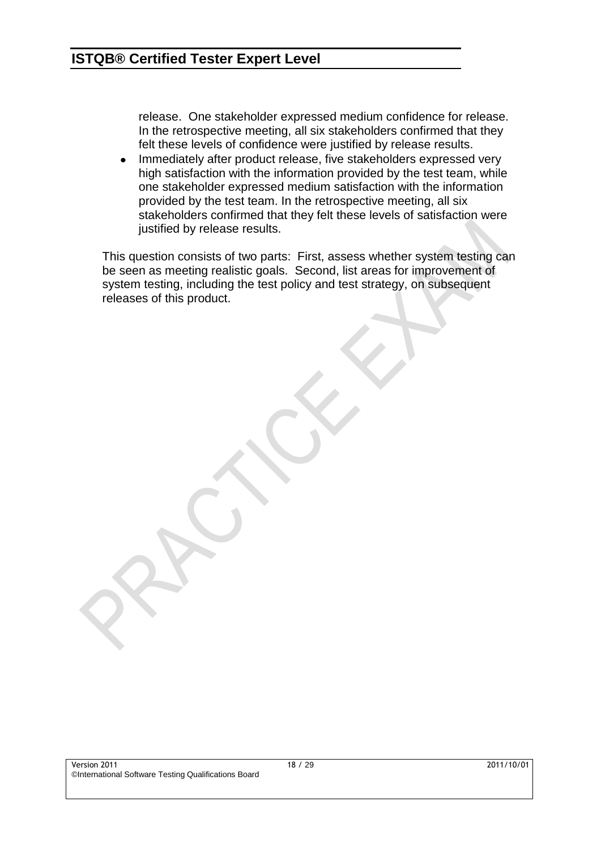release. One stakeholder expressed medium confidence for release. In the retrospective meeting, all six stakeholders confirmed that they felt these levels of confidence were justified by release results.

Immediately after product release, five stakeholders expressed very  $\bullet$ high satisfaction with the information provided by the test team, while one stakeholder expressed medium satisfaction with the information provided by the test team. In the retrospective meeting, all six stakeholders confirmed that they felt these levels of satisfaction were justified by release results.

This question consists of two parts: First, assess whether system testing can be seen as meeting realistic goals. Second, list areas for improvement of system testing, including the test policy and test strategy, on subsequent releases of this product.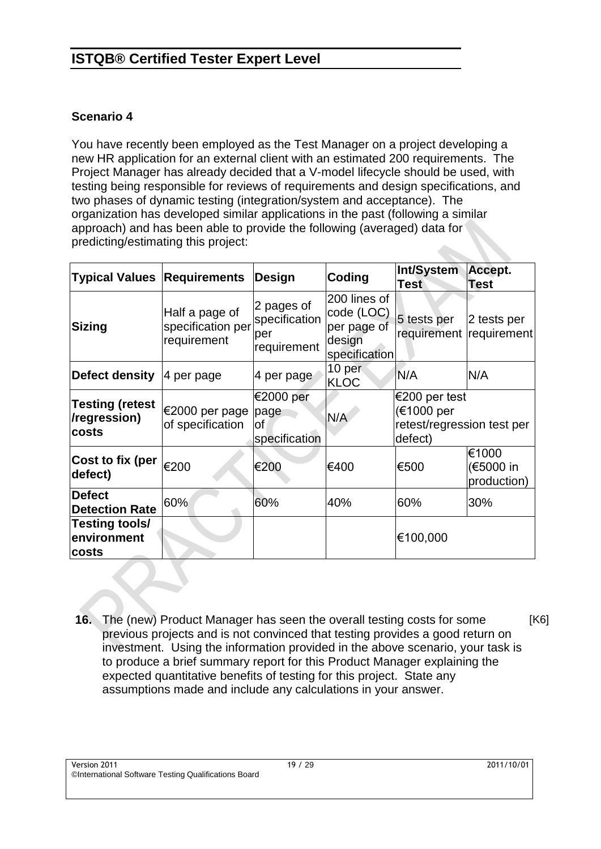#### **Scenario 4**

You have recently been employed as the Test Manager on a project developing a new HR application for an external client with an estimated 200 requirements. The Project Manager has already decided that a V-model lifecycle should be used, with testing being responsible for reviews of requirements and design specifications, and two phases of dynamic testing (integration/system and acceptance). The organization has developed similar applications in the past (following a similar approach) and has been able to provide the following (averaged) data for predicting/estimating this project:

| <b>Typical Values Requirements</b>              |                                                    | <b>Design</b>                                     | Coding                                                               | Int/System<br><b>Test</b>                                            | Accept.<br><b>Test</b>            |  |
|-------------------------------------------------|----------------------------------------------------|---------------------------------------------------|----------------------------------------------------------------------|----------------------------------------------------------------------|-----------------------------------|--|
| <b>Sizing</b>                                   | Half a page of<br>specification per<br>requirement | 2 pages of<br>specification<br>per<br>requirement | 200 lines of<br>code (LOC)<br>per page of<br>design<br>specification | 5 tests per<br>requirement requirement                               | 2 tests per                       |  |
| Defect density                                  | $ 4$ per page                                      | 4 per page                                        | 10 per<br><b>KLOC</b>                                                | N/A                                                                  | N/A                               |  |
| <b>Testing (retest</b><br>/regression)<br>costs | €2000 per page<br>of specification                 | €2000 per<br>page<br>οf<br>specification          | N/A                                                                  | €200 per test<br>(€1000 per<br>retest/regression test per<br>defect) |                                   |  |
| Cost to fix (per<br>defect)                     | €200                                               | €200                                              | €400                                                                 | €500                                                                 | €1000<br>(€5000 in<br>production) |  |
| <b>Defect</b><br><b>Detection Rate</b>          | 60%                                                | 60%                                               | 40%                                                                  | 60%                                                                  | 30%                               |  |
| Testing tools/<br>environment<br>costs          |                                                    |                                                   |                                                                      | €100,000                                                             |                                   |  |

**16.** The (new) Product Manager has seen the overall testing costs for some previous projects and is not convinced that testing provides a good return on investment. Using the information provided in the above scenario, your task is to produce a brief summary report for this Product Manager explaining the expected quantitative benefits of testing for this project. State any assumptions made and include any calculations in your answer. [K6]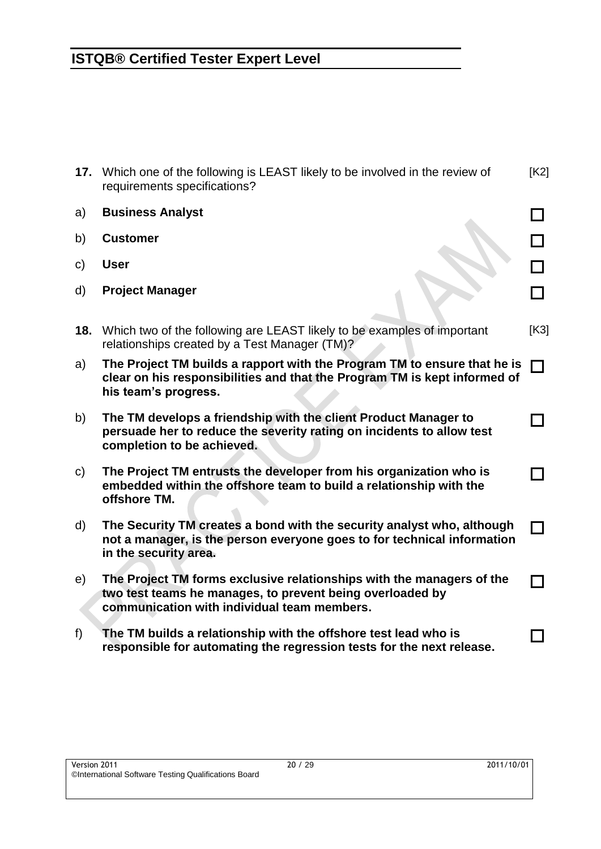| 17.          | Which one of the following is LEAST likely to be involved in the review of<br>requirements specifications?                                                                        | [K2] |
|--------------|-----------------------------------------------------------------------------------------------------------------------------------------------------------------------------------|------|
| a)           | <b>Business Analyst</b>                                                                                                                                                           |      |
| b)           | <b>Customer</b>                                                                                                                                                                   |      |
| C)           | <b>User</b>                                                                                                                                                                       | П    |
| d)           | <b>Project Manager</b>                                                                                                                                                            | П    |
| 18.          | Which two of the following are LEAST likely to be examples of important<br>relationships created by a Test Manager (TM)?                                                          | [K3] |
| a)           | The Project TM builds a rapport with the Program TM to ensure that he is<br>clear on his responsibilities and that the Program TM is kept informed of<br>his team's progress.     | l 1  |
| b)           | The TM develops a friendship with the client Product Manager to<br>persuade her to reduce the severity rating on incidents to allow test<br>completion to be achieved.            |      |
| $\mathsf{C}$ | The Project TM entrusts the developer from his organization who is<br>embedded within the offshore team to build a relationship with the<br>offshore TM.                          |      |
| d)           | The Security TM creates a bond with the security analyst who, although<br>not a manager, is the person everyone goes to for technical information<br>in the security area.        |      |
| e)           | The Project TM forms exclusive relationships with the managers of the<br>two test teams he manages, to prevent being overloaded by<br>communication with individual team members. |      |
| f)           | The TM builds a relationship with the offshore test lead who is<br>responsible for automating the regression tests for the next release.                                          |      |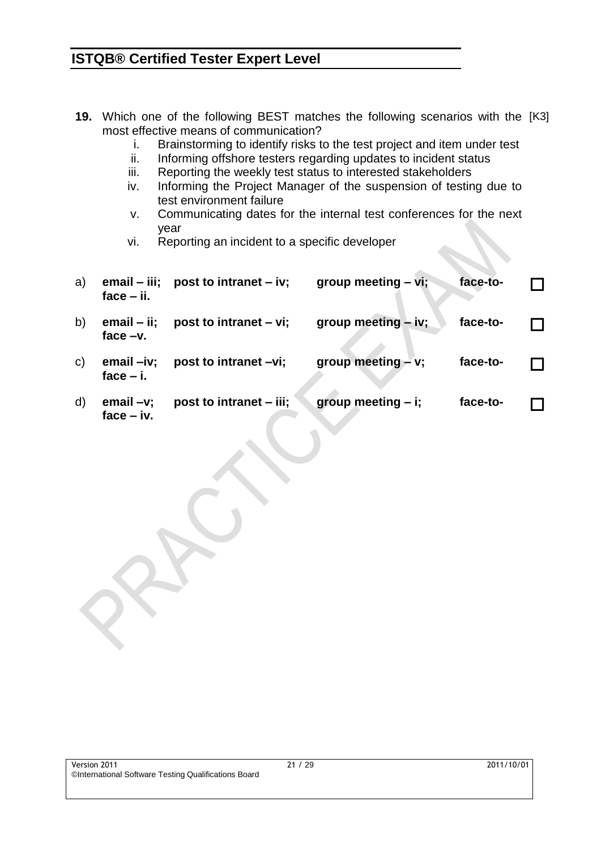- **19.** Which one of the following BEST matches the following scenarios with the [K3] most effective means of communication?
	- i. Brainstorming to identify risks to the test project and item under test
	- ii. Informing offshore testers regarding updates to incident status
	- iii. Reporting the weekly test status to interested stakeholders
	- iv. Informing the Project Manager of the suspension of testing due to test environment failure
	- v. Communicating dates for the internal test conferences for the next year
	- vi. Reporting an incident to a specific developer

| a)           | $email - iii;$<br>$face - ii$ . | post to intranet $-$ iv; | group meeting $-$ vi; | face-to- |  |
|--------------|---------------------------------|--------------------------|-----------------------|----------|--|
| b)           | $email - ii;$<br>face $-v$ .    | post to intranet $-$ vi; | group meeting - iv;   | face-to- |  |
| $\mathbf{C}$ | $email -iv;$<br>face $-$ i.     | post to intranet -vi;    | group meeting - v;    | face-to- |  |
| d)           | $email -v;$<br>$face - iv.$     | post to intranet – iii;  | group meeting $- i$ ; | face-to- |  |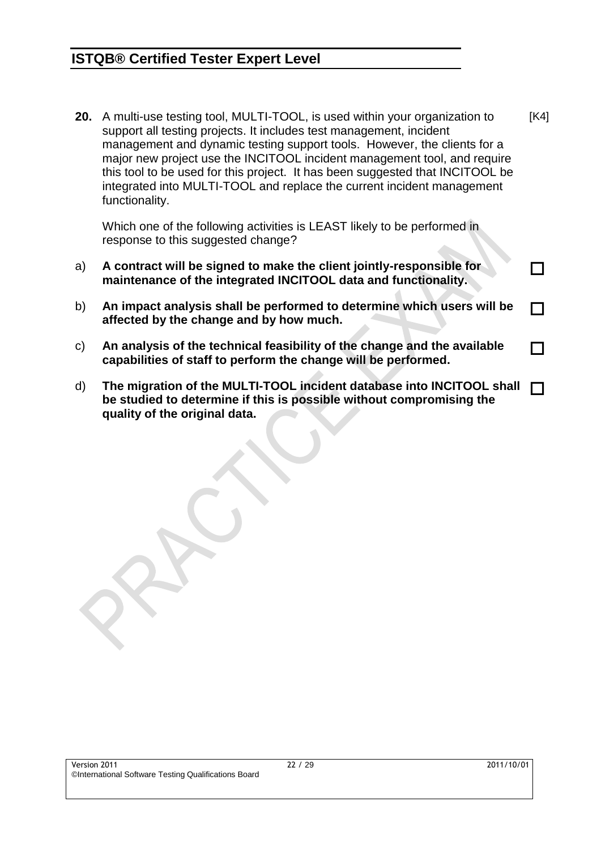**20.** A multi-use testing tool, MULTI-TOOL, is used within your organization to support all testing projects. It includes test management, incident management and dynamic testing support tools. However, the clients for a major new project use the INCITOOL incident management tool, and require this tool to be used for this project. It has been suggested that INCITOOL be integrated into MULTI-TOOL and replace the current incident management functionality. [K4]

Which one of the following activities is LEAST likely to be performed in response to this suggested change?

- a) **A contract will be signed to make the client jointly-responsible for maintenance of the integrated INCITOOL data and functionality.**
- b) **An impact analysis shall be performed to determine which users will be affected by the change and by how much.**  $\Box$
- c) **An analysis of the technical feasibility of the change and the available capabilities of staff to perform the change will be performed.**
- d) **The migration of the MULTI-TOOL incident database into INCITOOL shall be studied to determine if this is possible without compromising the quality of the original data.**  $\Box$

П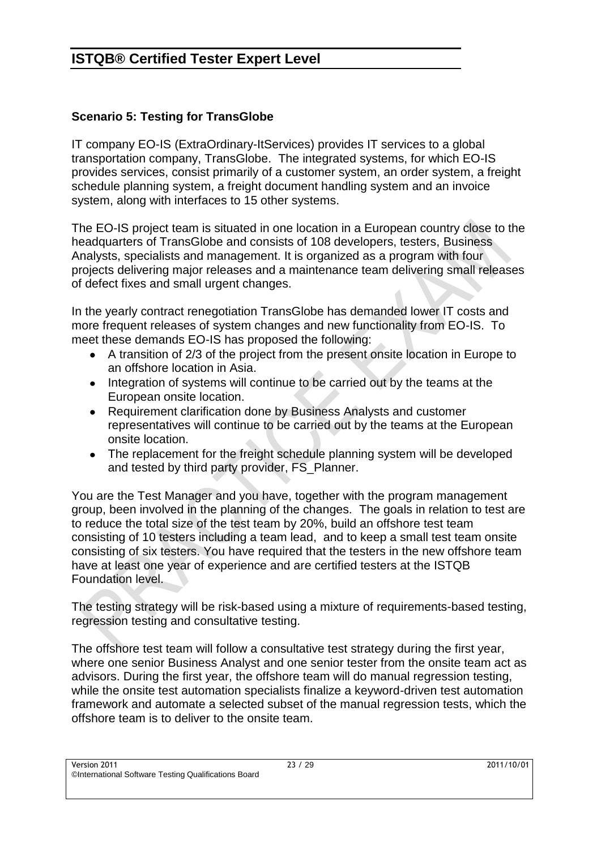#### **Scenario 5: Testing for TransGlobe**

IT company EO-IS (ExtraOrdinary-ItServices) provides IT services to a global transportation company, TransGlobe. The integrated systems, for which EO-IS provides services, consist primarily of a customer system, an order system, a freight schedule planning system, a freight document handling system and an invoice system, along with interfaces to 15 other systems.

The EO-IS project team is situated in one location in a European country close to the headquarters of TransGlobe and consists of 108 developers, testers, Business Analysts, specialists and management. It is organized as a program with four projects delivering major releases and a maintenance team delivering small releases of defect fixes and small urgent changes.

In the yearly contract renegotiation TransGlobe has demanded lower IT costs and more frequent releases of system changes and new functionality from EO-IS. To meet these demands EO-IS has proposed the following:

- A transition of 2/3 of the project from the present onsite location in Europe to an offshore location in Asia.
- Integration of systems will continue to be carried out by the teams at the European onsite location.
- Requirement clarification done by Business Analysts and customer representatives will continue to be carried out by the teams at the European onsite location.
- The replacement for the freight schedule planning system will be developed and tested by third party provider, FS\_Planner.

You are the Test Manager and you have, together with the program management group, been involved in the planning of the changes. The goals in relation to test are to reduce the total size of the test team by 20%, build an offshore test team consisting of 10 testers including a team lead, and to keep a small test team onsite consisting of six testers. You have required that the testers in the new offshore team have at least one year of experience and are certified testers at the ISTQB Foundation level.

The testing strategy will be risk-based using a mixture of requirements-based testing, regression testing and consultative testing.

The offshore test team will follow a consultative test strategy during the first year, where one senior Business Analyst and one senior tester from the onsite team act as advisors. During the first year, the offshore team will do manual regression testing, while the onsite test automation specialists finalize a keyword-driven test automation framework and automate a selected subset of the manual regression tests, which the offshore team is to deliver to the onsite team.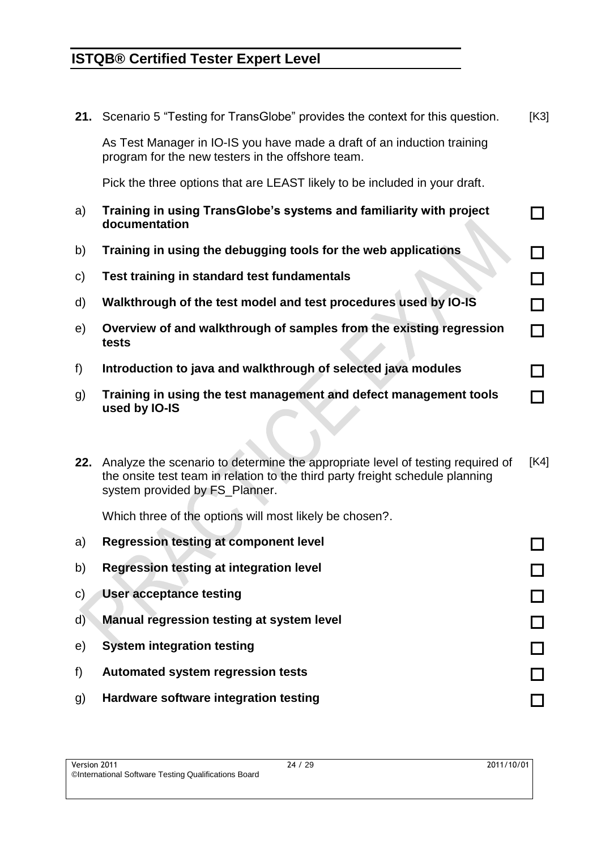**21.** Scenario 5 "Testing for TransGlobe" provides the context for this question. [K3]

As Test Manager in IO-IS you have made a draft of an induction training program for the new testers in the offshore team.

Pick the three options that are LEAST likely to be included in your draft.

- a) **Training in using TransGlobe's systems and familiarity with project documentation**
- b) **Training in using the debugging tools for the web applications**
- c) **Test training in standard test fundamentals**
- d) **Walkthrough of the test model and test procedures used by IO-IS**
- e) **Overview of and walkthrough of samples from the existing regression tests**
- f) **Introduction to java and walkthrough of selected java modules**
- g) **Training in using the test management and defect management tools used by IO-IS**
- **22.** Analyze the scenario to determine the appropriate level of testing required of the onsite test team in relation to the third party freight schedule planning system provided by FS\_Planner. [K4]

Which three of the options will most likely be chosen?.

| a)           | <b>Regression testing at component level</b>   |  |
|--------------|------------------------------------------------|--|
| b)           | <b>Regression testing at integration level</b> |  |
| C)           | User acceptance testing                        |  |
| $\mathsf{d}$ | Manual regression testing at system level      |  |
| e)           | <b>System integration testing</b>              |  |
| f)           | <b>Automated system regression tests</b>       |  |
| g)           | Hardware software integration testing          |  |

П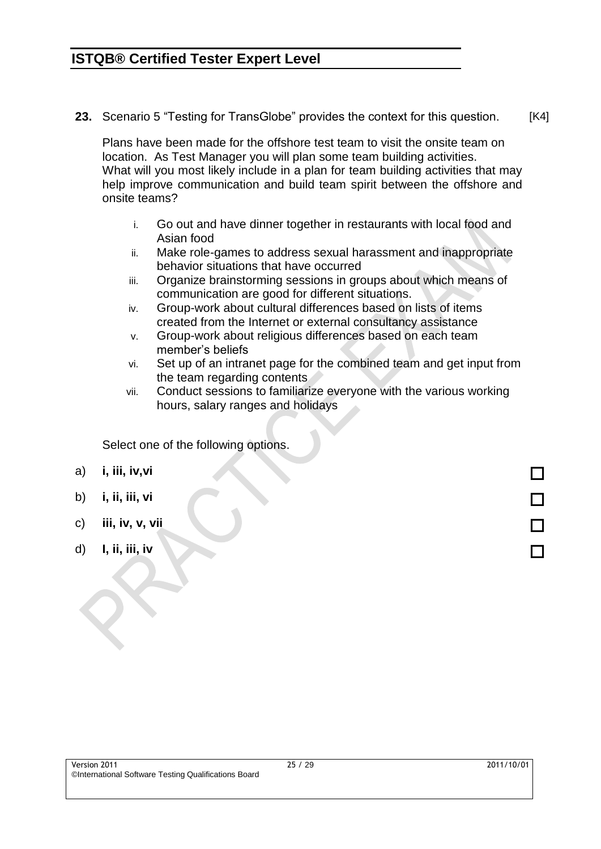**23.** Scenario 5 "Testing for TransGlobe" provides the context for this question. [K4]

Plans have been made for the offshore test team to visit the onsite team on location. As Test Manager you will plan some team building activities. What will you most likely include in a plan for team building activities that may help improve communication and build team spirit between the offshore and onsite teams?

- i. Go out and have dinner together in restaurants with local food and Asian food
- ii. Make role-games to address sexual harassment and inappropriate behavior situations that have occurred
- iii. Organize brainstorming sessions in groups about which means of communication are good for different situations.
- iv. Group-work about cultural differences based on lists of items created from the Internet or external consultancy assistance
- v. Group-work about religious differences based on each team member's beliefs
- vi. Set up of an intranet page for the combined team and get input from the team regarding contents
- vii. Conduct sessions to familiarize everyone with the various working hours, salary ranges and holidays

Select one of the following options.

- a) **i, iii, iv,vi**
- b) **i, ii, iii, vi**
- c) **iii, iv, v, vii**
- d) **I, ii, iii, iv**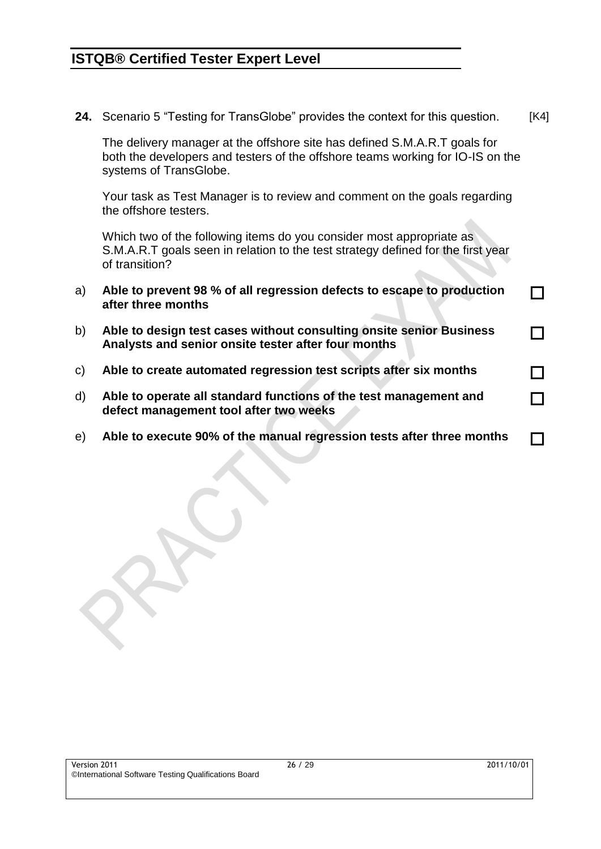**24.** Scenario 5 "Testing for TransGlobe" provides the context for this question. [K4]

The delivery manager at the offshore site has defined S.M.A.R.T goals for both the developers and testers of the offshore teams working for IO-IS on the systems of TransGlobe.

Your task as Test Manager is to review and comment on the goals regarding the offshore testers.

Which two of the following items do you consider most appropriate as S.M.A.R.T goals seen in relation to the test strategy defined for the first year of transition?

- a) **Able to prevent 98 % of all regression defects to escape to production after three months**
- b) **Able to design test cases without consulting onsite senior Business Analysts and senior onsite tester after four months**
- c) **Able to create automated regression test scripts after six months**
- d) **Able to operate all standard functions of the test management and defect management tool after two weeks**
- e) **Able to execute 90% of the manual regression tests after three months**

П

П

 $\Box$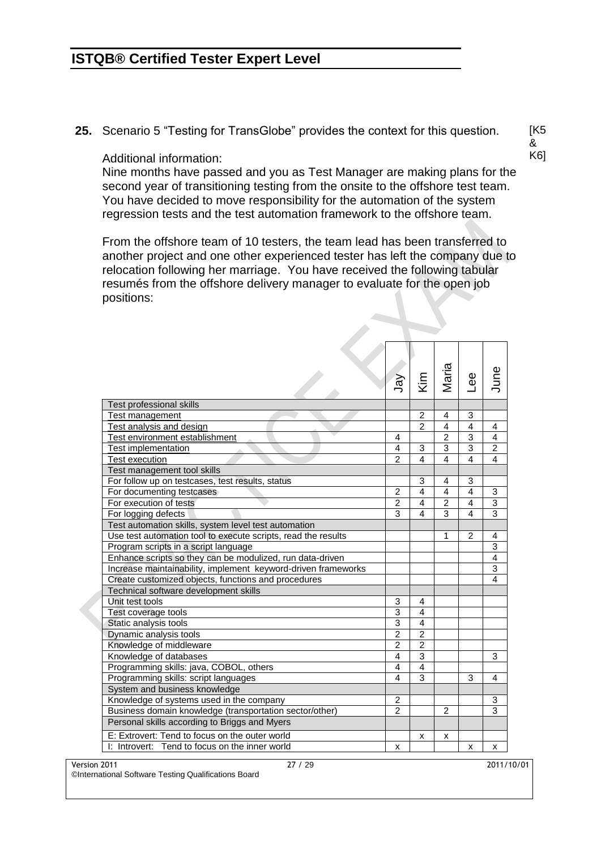**25.** Scenario 5 "Testing for TransGlobe" provides the context for this question.

Additional information:

Nine months have passed and you as Test Manager are making plans for the second year of transitioning testing from the onsite to the offshore test team. You have decided to move responsibility for the automation of the system regression tests and the test automation framework to the offshore team.

From the offshore team of 10 testers, the team lead has been transferred to another project and one other experienced tester has left the company due to relocation following her marriage. You have received the following tabular resumés from the offshore delivery manager to evaluate for the open job positions:

|                                                               | Ver            | Kim                     | Maria          | $e$ e                   | June           |
|---------------------------------------------------------------|----------------|-------------------------|----------------|-------------------------|----------------|
| Test professional skills                                      |                |                         |                |                         |                |
| Test management                                               |                | $\overline{2}$          | 4              | 3                       |                |
| Test analysis and design                                      |                | $\overline{2}$          | $\overline{4}$ | $\overline{\mathbf{4}}$ | 4              |
| Test environment establishment                                | 4              |                         | $\overline{2}$ | $\overline{3}$          | $\overline{4}$ |
| Test implementation                                           | 4              | 3                       | 3              | 3                       | $\overline{c}$ |
| <b>Test execution</b>                                         | $\overline{2}$ | 4                       | 4              | $\overline{\mathbf{4}}$ | $\overline{4}$ |
| Test management tool skills                                   |                |                         |                |                         |                |
| For follow up on testcases, test results, status              |                | 3                       | 4              | 3                       |                |
| For documenting testcases                                     | $\overline{c}$ | $\overline{\mathbf{A}}$ | $\overline{4}$ | $\overline{\mathbf{4}}$ | 3              |
| For execution of tests                                        | $\overline{2}$ | $\overline{4}$          | $\overline{2}$ | $\overline{\mathbf{4}}$ | $\overline{3}$ |
| For logging defects                                           | 3              | $\overline{4}$          | $\overline{3}$ | $\overline{\mathbf{4}}$ | $\overline{3}$ |
| Test automation skills, system level test automation          |                |                         |                |                         |                |
| Use test automation tool to execute scripts, read the results |                |                         | 1              | $\overline{2}$          | 4              |
| Program scripts in a script language                          |                |                         |                |                         | $\overline{3}$ |
| Enhance scripts so they can be modulized, run data-driven     |                |                         |                |                         | $\overline{4}$ |
| Increase maintainability, implement keyword-driven frameworks |                |                         |                |                         | $\overline{3}$ |
| Create customized objects, functions and procedures           |                |                         |                |                         | $\overline{4}$ |
| Technical software development skills                         |                |                         |                |                         |                |
| Unit test tools                                               | 3              | 4                       |                |                         |                |
| Test coverage tools                                           | 3              | 4                       |                |                         |                |
| Static analysis tools                                         | 3              | 4                       |                |                         |                |
| Dynamic analysis tools                                        | $\overline{2}$ | $\overline{2}$          |                |                         |                |
| Knowledge of middleware                                       | $\overline{2}$ | $\overline{2}$          |                |                         |                |
| Knowledge of databases                                        | $\overline{4}$ | 3                       |                |                         | 3              |
| Programming skills: java, COBOL, others                       | $\overline{4}$ | 4                       |                |                         |                |
| Programming skills: script languages                          | $\overline{4}$ | $\overline{3}$          |                | 3                       | 4              |
| System and business knowledge                                 |                |                         |                |                         |                |
| Knowledge of systems used in the company                      | $\overline{c}$ |                         |                |                         | 3              |
| Business domain knowledge (transportation sector/other)       | $\overline{2}$ |                         | $\overline{2}$ |                         | 3              |
| Personal skills according to Briggs and Myers                 |                |                         |                |                         |                |
| E: Extrovert: Tend to focus on the outer world                |                | x                       | x              |                         |                |
| I: Introvert: Tend to focus on the inner world                | X              |                         |                | x                       | x              |

Version 2011 27 / 29 2011/10/01

©International Software Testing Qualifications Board

[K5 & K6]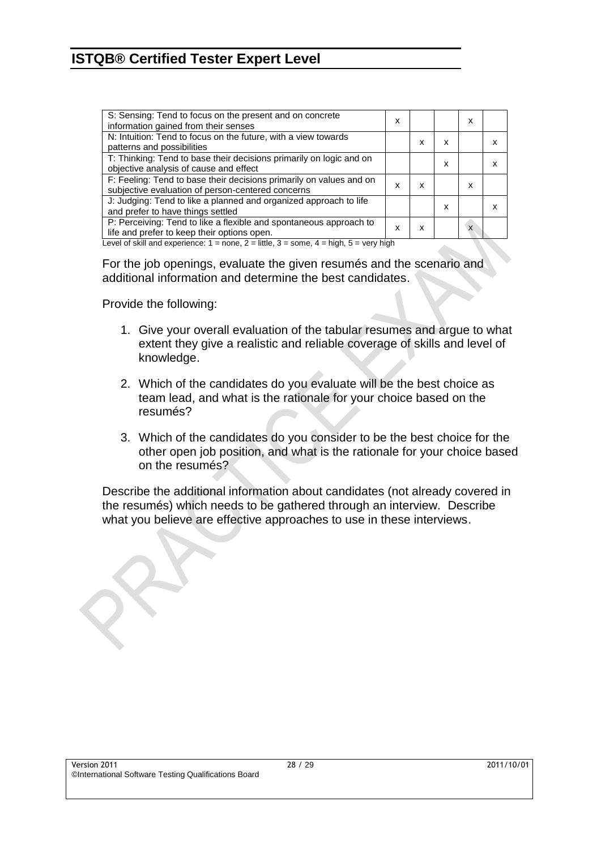| S: Sensing: Tend to focus on the present and on concrete<br>information gained from their senses                         | x |   |   | x |   |
|--------------------------------------------------------------------------------------------------------------------------|---|---|---|---|---|
| N: Intuition: Tend to focus on the future, with a view towards<br>patterns and possibilities                             |   | x | x |   |   |
| T: Thinking: Tend to base their decisions primarily on logic and on<br>objective analysis of cause and effect            |   |   | x |   |   |
| F: Feeling: Tend to base their decisions primarily on values and on<br>subjective evaluation of person-centered concerns | x | x |   | x |   |
| J: Judging: Tend to like a planned and organized approach to life<br>and prefer to have things settled                   |   |   | x |   | x |
| P: Perceiving: Tend to like a flexible and spontaneous approach to<br>life and prefer to keep their options open.        | x | x |   | X |   |
| and of plick and opposite second process in the compact of the four bights                                               |   |   |   |   |   |

Level of skill and experience:  $1 =$  none,  $2 =$  little,  $3 =$  some,  $4 =$  high,  $5 =$  very high

For the job openings, evaluate the given resumés and the scenario and additional information and determine the best candidates.

Provide the following:

- 1. Give your overall evaluation of the tabular resumes and argue to what extent they give a realistic and reliable coverage of skills and level of knowledge.
- 2. Which of the candidates do you evaluate will be the best choice as team lead, and what is the rationale for your choice based on the resumés?
- 3. Which of the candidates do you consider to be the best choice for the other open job position, and what is the rationale for your choice based on the resumés?

Describe the additional information about candidates (not already covered in the resumés) which needs to be gathered through an interview. Describe what you believe are effective approaches to use in these interviews.